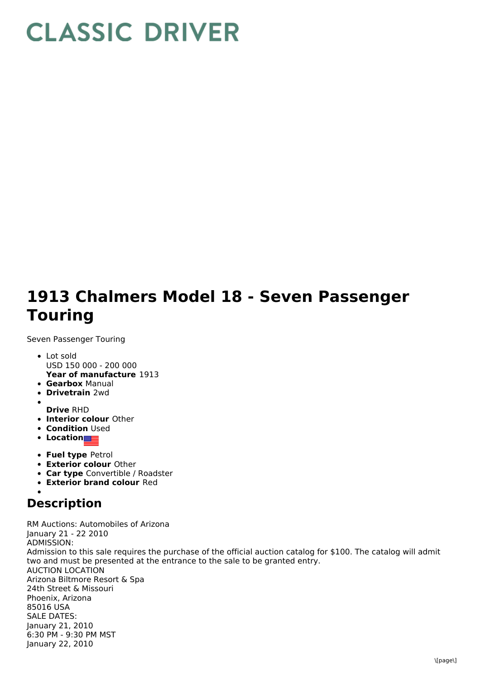## **CLASSIC DRIVER**

## **1913 Chalmers Model 18 - Seven Passenger Touring**

Seven Passenger Touring

- **Year of manufacture** 1913 Lot sold USD 150 000 - 200 000
- **Gearbox** Manual
- **Drivetrain** 2wd
- **Drive** RHD
- **Interior colour** Other
- **Condition Used**
- **Location**
- **Fuel type** Petrol
- **Exterior colour** Other
- **Car type** Convertible / Roadster
- **Exterior brand colour** Red

## **Description**

RM Auctions: Automobiles of Arizona January 21 - 22 2010 ADMISSION: Admission to this sale requires the purchase of the official auction catalog for \$100. The catalog will admit two and must be presented at the entrance to the sale to be granted entry. AUCTION LOCATION Arizona Biltmore Resort & Spa 24th Street & Missouri Phoenix, Arizona 85016 USA SALE DATES: January 21, 2010 6:30 PM - 9:30 PM MST January 22, 2010